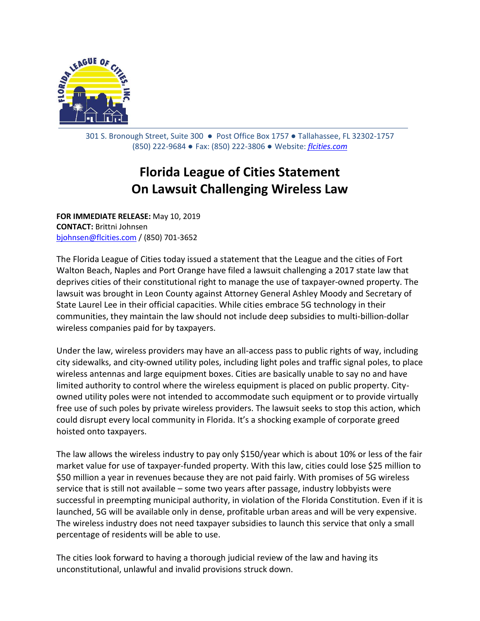

301 S. Bronough Street, Suite 300 ● Post Office Box 1757 ● Tallahassee, FL 32302-1757 (850) 222-9684 ● Fax: (850) 222-3806 ● Website: *[flcities.com](http://www.flcities.com/)*

## **Florida League of Cities Statement On Lawsuit Challenging Wireless Law**

**FOR IMMEDIATE RELEASE:** May 10, 2019 **CONTACT:** Brittni Johnsen [bjohnsen@flcities.com](mailto:bjohnsen@flcities.com) / (850) 701-3652

The Florida League of Cities today issued a statement that the League and the cities of Fort Walton Beach, Naples and Port Orange have filed a lawsuit challenging a 2017 state law that deprives cities of their constitutional right to manage the use of taxpayer-owned property. The lawsuit was brought in Leon County against Attorney General Ashley Moody and Secretary of State Laurel Lee in their official capacities. While cities embrace 5G technology in their communities, they maintain the law should not include deep subsidies to multi-billion-dollar wireless companies paid for by taxpayers.

Under the law, wireless providers may have an all-access pass to public rights of way, including city sidewalks, and city-owned utility poles, including light poles and traffic signal poles, to place wireless antennas and large equipment boxes. Cities are basically unable to say no and have limited authority to control where the wireless equipment is placed on public property. Cityowned utility poles were not intended to accommodate such equipment or to provide virtually free use of such poles by private wireless providers. The lawsuit seeks to stop this action, which could disrupt every local community in Florida. It's a shocking example of corporate greed hoisted onto taxpayers.

The law allows the wireless industry to pay only \$150/year which is about 10% or less of the fair market value for use of taxpayer-funded property. With this law, cities could lose \$25 million to \$50 million a year in revenues because they are not paid fairly. With promises of 5G wireless service that is still not available – some two years after passage, industry lobbyists were successful in preempting municipal authority, in violation of the Florida Constitution. Even if it is launched, 5G will be available only in dense, profitable urban areas and will be very expensive. The wireless industry does not need taxpayer subsidies to launch this service that only a small percentage of residents will be able to use.

The cities look forward to having a thorough judicial review of the law and having its unconstitutional, unlawful and invalid provisions struck down.